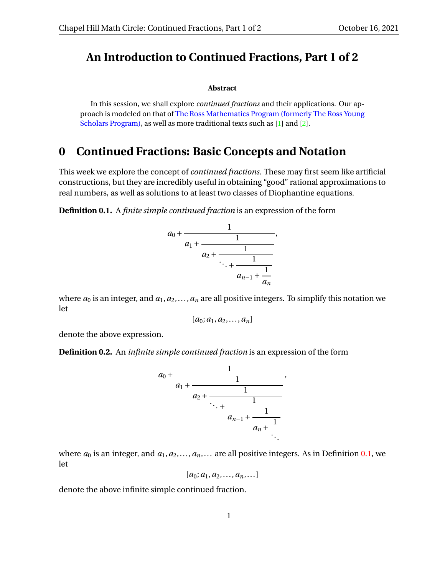# **An Introduction to Continued Fractions, Part 1 of 2**

#### **Abstract**

In this session, we shall explore *continued fractions* and their applications. Our approach is modeled on that of [The Ross Mathematics Program \(formerly The Ross Young](https://rossprogram.org/) [Scholars Program\),](https://rossprogram.org/) as well as more traditional texts such as [\[1\]](#page-9-0) and [\[2\]](#page-9-1).

#### **0 Continued Fractions: Basic Concepts and Notation**

This week we explore the concept of *continued fractions*. These may first seem like artificial constructions, but they are incredibly useful in obtaining "good" rational approximations to real numbers, as well as solutions to at least two classes of Diophantine equations.

<span id="page-0-0"></span>**Definition 0.1.** A *finite simple continued fraction* is an expression of the form

$$
a_0 + \cfrac{1}{a_1 + \cfrac{1}{a_2 + \cfrac{1}{\ddots + \cfrac{1}{a_{n-1} + \cfrac{1}{a_n}}}}},
$$

where  $a_0$  is an integer, and  $a_1, a_2, \ldots, a_n$  are all positive integers. To simplify this notation we let

$$
[a_0;a_1,a_2,\ldots,a_n]
$$

denote the above expression.

<span id="page-0-1"></span>**Definition 0.2.** An *infinite simple continued fraction* is an expression of the form

$$
a_0 + \cfrac{1}{a_1 + \cfrac{1}{a_2 + \cfrac{1}{\ddots + \cfrac{1}{a_{n-1} + \cfrac{1}{a_n + \cfrac{1}{\ddots}}}}}},
$$

where  $a_0$  is an integer, and  $a_1, a_2, \ldots, a_n, \ldots$  are all positive integers. As in Definition [0.1,](#page-0-0) we let

$$
[a_0;a_1,a_2,\ldots,a_n,\ldots]
$$

denote the above infinite simple continued fraction.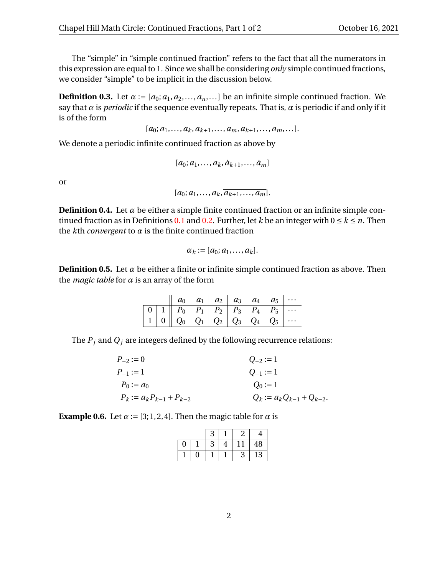The "simple" in "simple continued fraction" refers to the fact that all the numerators in this expression are equal to 1. Since we shall be considering *only* simple continued fractions, we consider "simple" to be implicit in the discussion below.

**Definition 0.3.** Let  $\alpha := [a_0; a_1, a_2, \ldots, a_n, \ldots]$  be an infinite simple continued fraction. We say that  $\alpha$  is *periodic* if the sequence eventually repeats. That is,  $\alpha$  is periodic if and only if it is of the form

 $[a_0; a_1, \ldots, a_k, a_{k+1}, \ldots, a_m, a_{k+1}, \ldots, a_m, \ldots].$ 

We denote a periodic infinite continued fraction as above by

 $[a_0; a_1, \ldots, a_k, \dot{a}_{k+1}, \ldots, \dot{a}_m]$ 

or

 $[a_0; a_1, \ldots, a_k, \overline{a_{k+1}, \ldots, a_m}].$ 

**Definition 0.4.** Let  $\alpha$  be either a simple finite continued fraction or an infinite simple con-tinued fraction as in Definitions [0.1](#page-0-0) and [0.2.](#page-0-1) Further, let *k* be an integer with  $0 \le k \le n$ . Then the *k*th *convergent* to *α* is the finite continued fraction

$$
\alpha_k := [a_0; a_1, \ldots, a_k].
$$

**Definition 0.5.** Let  $\alpha$  be either a finite or infinite simple continued fraction as above. Then the *magic table* for *α* is an array of the form

|  |                                                                                                                          |  | $a_0 \mid a_1 \mid a_2 \mid a_3 \mid a_4 \mid a_5 \mid \cdots$ |  |  |
|--|--------------------------------------------------------------------------------------------------------------------------|--|----------------------------------------------------------------|--|--|
|  | $\mid 0 \mid 1 \parallel P_0 \mid P_1 \mid P_2 \mid P_3 \mid P_4 \mid P_5 \mid \cdots$                                   |  |                                                                |  |  |
|  | $\mid$ 1 $\mid$ 0 $\mid\mid$ $Q_{0} \mid$ $\mid$ $Q_{1} \mid$ $Q_{2} \mid$ $Q_{3} \mid$ $Q_{4} \mid$ $Q_{5} \mid \cdots$ |  |                                                                |  |  |

The  $P_j$  and  $Q_j$  are integers defined by the following recurrence relations:

| $P_{-2} := 0$                  | $Q_{-2} := 1$                   |
|--------------------------------|---------------------------------|
| $P_{-1} := 1$                  | $Q_{-1} := 1$                   |
| $P_0 := a_0$                   | $Q_0 := 1$                      |
| $P_k := a_k P_{k-1} + P_{k-2}$ | $Q_k := a_k Q_{k-1} + Q_{k-2}.$ |

<span id="page-1-0"></span>**Example 0.6.** Let  $\alpha := [3; 1, 2, 4]$ . Then the magic table for  $\alpha$  is

|   |   | 3 |   |   | 4  |
|---|---|---|---|---|----|
| 0 |   | 3 | 4 |   | 48 |
|   | 0 |   |   | 3 | 13 |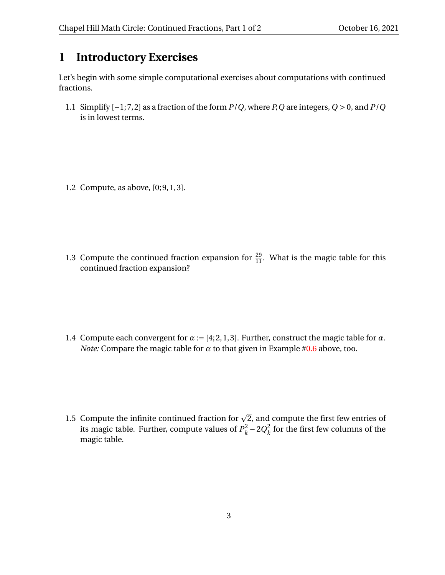# **1 Introductory Exercises**

Let's begin with some simple computational exercises about computations with continued fractions.

1.1 Simplify [−1; 7, 2] as a fraction of the form *P*/*Q*, where *P*,*Q* are integers, *Q* > 0, and *P*/*Q* is in lowest terms.

1.2 Compute, as above, [0; 9, 1, 3].

1.3 Compute the continued fraction expansion for  $\frac{29}{11}$ . What is the magic table for this continued fraction expansion?

- <span id="page-2-0"></span>1.4 Compute each convergent for  $\alpha := [4; 2, 1, 3]$ . Further, construct the magic table for  $\alpha$ . *Note:* Compare the magic table for  $\alpha$  to that given in Example [#0.6](#page-1-0) above, too.
- 1.5 Compute the infinite continued fraction for  $\sqrt{2}$ , and compute the first few entries of its magic table. Further, compute values of  $P_k^2$  $k^2 - 2Q_k^2$  $\frac{2}{k}$  for the first few columns of the magic table.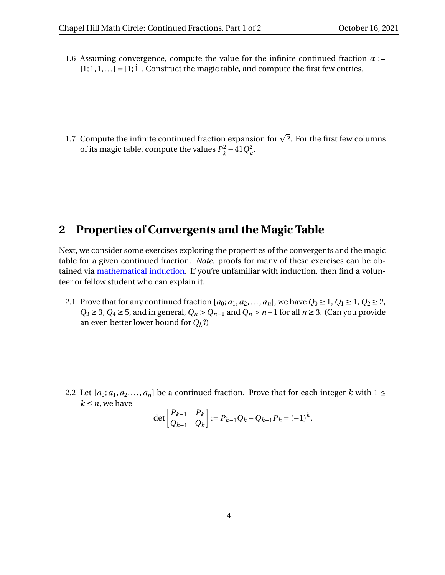- 1.6 Assuming convergence, compute the value for the infinite continued fraction  $\alpha$  :=  $[1; 1, 1, \ldots] = [1; 1]$ . Construct the magic table, and compute the first few entries.
- 1.7 Compute the infinite continued fraction expansion for  $\sqrt{2}$ . For the first few columns of its magic table, compute the values  $P_k^2$  $k^2 - 41Q_k^2$ *k* .

## **2 Properties of Convergents and the Magic Table**

Next, we consider some exercises exploring the properties of the convergents and the magic table for a given continued fraction. *Note:* proofs for many of these exercises can be obtained via [mathematical induction.](https://en.wikipedia.org/wiki/Mathematical_induction) If you're unfamiliar with induction, then find a volunteer or fellow student who can explain it.

2.1 Prove that for any continued fraction  $[a_0; a_1, a_2,..., a_n]$ , we have  $Q_0 \geq 1$ ,  $Q_1 \geq 1$ ,  $Q_2 \geq 2$ , *Q*<sub>3</sub> ≥ 3, *Q*<sub>4</sub> ≥ 5, and in general, *Q<sub>n</sub>* > *Q<sub>n</sub>*−1 and *Q<sub>n</sub>* > *n*+1 for all *n* ≥ 3. (Can you provide an even better lower bound for  $Q_k$ ?)

2.2 Let  $[a_0; a_1, a_2, \ldots, a_n]$  be a continued fraction. Prove that for each integer *k* with  $1 \le$  $k \leq n$ , we have

$$
\det\begin{bmatrix} P_{k-1} & P_k \ Q_{k-1} & Q_k \end{bmatrix} := P_{k-1}Q_k - Q_{k-1}P_k = (-1)^k.
$$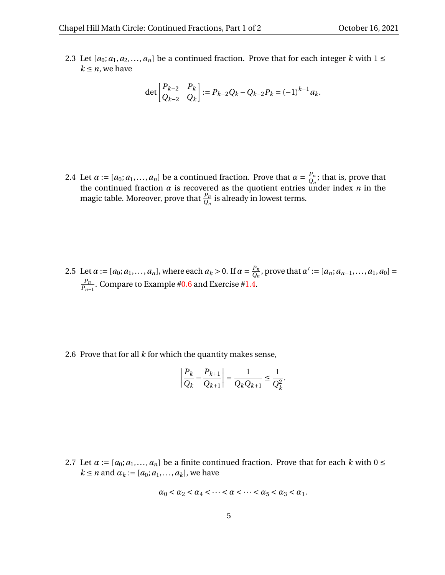2.3 Let  $[a_0; a_1, a_2, \ldots, a_n]$  be a continued fraction. Prove that for each integer *k* with  $1 \leq$  $k \leq n$ , we have

$$
\det\begin{bmatrix} P_{k-2} & P_k \ Q_{k-2} & Q_k \end{bmatrix} := P_{k-2}Q_k - Q_{k-2}P_k = (-1)^{k-1}a_k.
$$

2.4 Let  $\alpha := [a_0; a_1, \ldots, a_n]$  be a continued fraction. Prove that  $\alpha = \frac{P_n}{Q_n}$  $\frac{P_n}{Q_n}$ ; that is, prove that the continued fraction *α* is recovered as the quotient entries under index *n* in the magic table. Moreover, prove that  $\frac{P_n}{Q_n}$  is already in lowest terms.

2.5 Let  $\alpha := [a_0; a_1, \ldots, a_n]$ , where each  $a_k > 0$ . If  $\alpha = \frac{P_n}{Q_n}$  $\frac{P_n}{Q_n}$ , prove that  $\alpha' := [a_n; a_{n-1},..., a_1, a_0] =$ *Pn*  $\frac{P_n}{P_{n-1}}$ . Compare to Example [#0.6](#page-1-0) and Exercise [#1.4.](#page-2-0)

2.6 Prove that for all *k* for which the quantity makes sense,

$$
\left| \frac{P_k}{Q_k} - \frac{P_{k+1}}{Q_{k+1}} \right| = \frac{1}{Q_k Q_{k+1}} \le \frac{1}{Q_k^2}.
$$

2.7 Let  $\alpha := [a_0; a_1, \ldots, a_n]$  be a finite continued fraction. Prove that for each *k* with  $0 \le$  $k \le n$  and  $\alpha_k := [a_0; a_1, \ldots, a_k]$ , we have

$$
\alpha_0 < \alpha_2 < \alpha_4 < \cdots < \alpha < \cdots < \alpha_5 < \alpha_3 < \alpha_1.
$$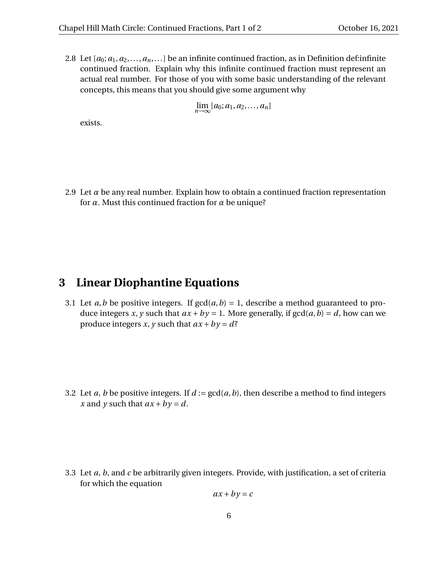2.8 Let  $[a_0; a_1, a_2, \ldots, a_n, \ldots]$  be an infinite continued fraction, as in Definition def:infinite continued fraction. Explain why this infinite continued fraction must represent an actual real number. For those of you with some basic understanding of the relevant concepts, this means that you should give some argument why

$$
\lim_{n\to\infty}[a_0;a_1,a_2,\ldots,a_n]
$$

exists.

2.9 Let  $\alpha$  be any real number. Explain how to obtain a continued fraction representation for *α*. Must this continued fraction for *α* be unique?

#### **3 Linear Diophantine Equations**

3.1 Let *a*,*b* be positive integers. If  $gcd(a, b) = 1$ , describe a method guaranteed to produce integers *x*, *y* such that  $ax + by = 1$ . More generally, if  $gcd(a, b) = d$ , how can we produce integers *x*, *y* such that  $ax + by = d$ ?

3.2 Let *a*, *b* be positive integers. If  $d := \gcd(a, b)$ , then describe a method to find integers *x* and *y* such that  $ax + by = d$ .

3.3 Let *a*, *b*, and *c* be arbitrarily given integers. Provide, with justification, a set of criteria for which the equation

$$
ax + by = c
$$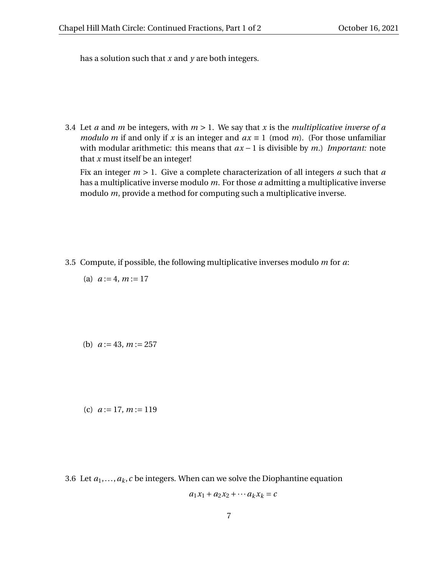has a solution such that *x* and *y* are both integers.

3.4 Let *a* and *m* be integers, with *m* > 1. We say that *x* is the *multiplicative inverse of a modulo m* if and only if *x* is an integer and  $ax \equiv 1 \pmod{m}$ . (For those unfamiliar with modular arithmetic: this means that *ax* − 1 is divisible by *m*.) *Important:* note that *x* must itself be an integer!

Fix an integer *m* > 1. Give a complete characterization of all integers *a* such that *a* has a multiplicative inverse modulo *m*. For those *a* admitting a multiplicative inverse modulo *m*, provide a method for computing such a multiplicative inverse.

3.5 Compute, if possible, the following multiplicative inverses modulo *m* for *a*:

(a) 
$$
a := 4, m := 17
$$

(b) 
$$
a := 43, m := 257
$$

(c) *a* := 17, *m* := 119

3.6 Let  $a_1, \ldots, a_k$ ,  $c$  be integers. When can we solve the Diophantine equation

$$
a_1x_1 + a_2x_2 + \cdots a_kx_k = c
$$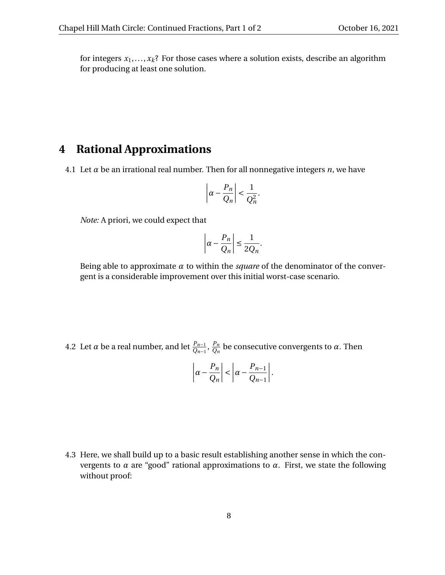for integers  $x_1, \ldots, x_k$ ? For those cases where a solution exists, describe an algorithm for producing at least one solution.

#### **4 Rational Approximations**

4.1 Let  $\alpha$  be an irrational real number. Then for all nonnegative integers  $n$ , we have

$$
\left|\alpha - \frac{P_n}{Q_n}\right| < \frac{1}{Q_n^2}.
$$

*Note:* A priori, we could expect that

$$
\left|\alpha - \frac{P_n}{Q_n}\right| \le \frac{1}{2Q_n}.
$$

Being able to approximate *α* to within the *square* of the denominator of the convergent is a considerable improvement over this initial worst-case scenario.

4.2 Let  $\alpha$  be a real number, and let  $\frac{P_{n-1}}{Q_{n-1}}, \frac{P_n}{Q_n}$  $\frac{P_n}{Q_n}$  be consecutive convergents to *α*. Then

$$
\left|\alpha-\frac{P_n}{Q_n}\right|<\left|\alpha-\frac{P_{n-1}}{Q_{n-1}}\right|.
$$

4.3 Here, we shall build up to a basic result establishing another sense in which the convergents to *α* are "good" rational approximations to *α*. First, we state the following without proof: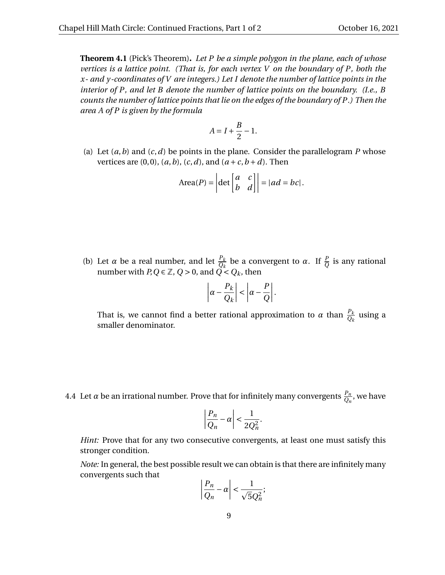**Theorem 4.1** (Pick's Theorem)**.** *Let P be a simple polygon in the plane, each of whose vertices is a lattice point. (That is, for each vertex V on the boundary of P, both the x- and y-coordinates of V are integers.) Let I denote the number of lattice points in the interior of P, and let B denote the number of lattice points on the boundary. (I.e., B counts the number of lattice points that lie on the edges of the boundary of P.) Then the area A of P is given by the formula*

$$
A = I + \frac{B}{2} - 1.
$$

(a) Let  $(a, b)$  and  $(c, d)$  be points in the plane. Consider the parallelogram *P* whose vertices are  $(0, 0)$ ,  $(a, b)$ ,  $(c, d)$ , and  $(a+c, b+d)$ . Then

$$
\text{Area}(P) = \left| \det \begin{bmatrix} a & c \\ b & d \end{bmatrix} \right| = |ad = bc|.
$$

(b) Let  $\alpha$  be a real number, and let  $\frac{P_k}{Q_k}$  be a convergent to  $\alpha$ . If  $\frac{P}{Q}$  is any rational number with  $P, Q \in \mathbb{Z}$ ,  $Q > 0$ , and  $\check{Q} < Q_k$ , then

$$
\left|\alpha - \frac{P_k}{Q_k}\right| < \left|\alpha - \frac{P}{Q}\right|.
$$

That is, we cannot find a better rational approximation to  $\alpha$  than  $\frac{P_k}{Q_k}$  using a smaller denominator.

4.4 Let  $\alpha$  be an irrational number. Prove that for infinitely many convergents  $\frac{P_n}{Q_n}$ , we have

$$
\left|\frac{P_n}{Q_n} - \alpha\right| < \frac{1}{2Q_n^2}.
$$

*Hint:* Prove that for any two consecutive convergents, at least one must satisfy this stronger condition.

*Note:* In general, the best possible result we can obtain is that there are infinitely many convergents such that

$$
\left|\frac{P_n}{Q_n} - \alpha\right| < \frac{1}{\sqrt{5}Q_n^2};
$$